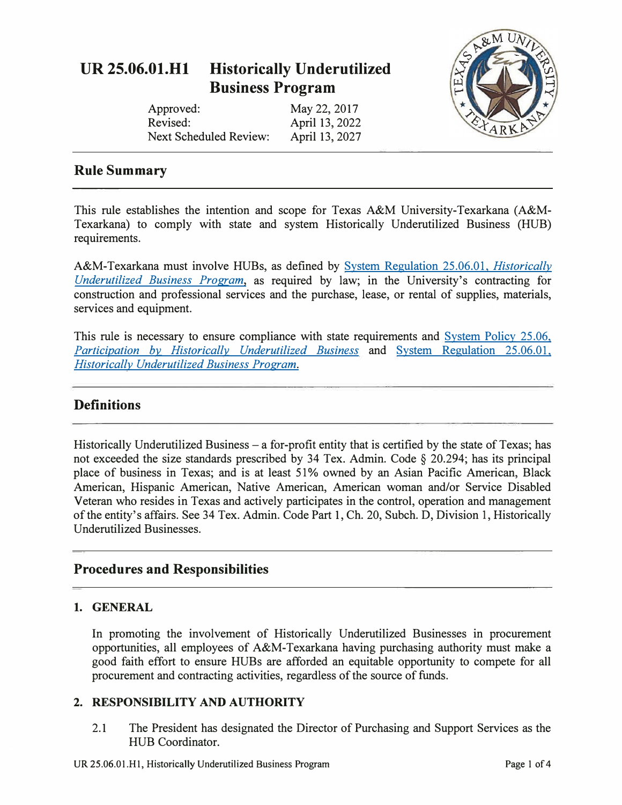# **UR 25.06.01.Hl Historically Underutilized Business Program**

| Approved:                     | May 22, 2017   |
|-------------------------------|----------------|
| Revised:                      | April 13, 2022 |
| <b>Next Scheduled Review:</b> | April 13, 2027 |



## **Rule Summary**

This rule establishes the intention and scope for Texas A&M University-Texarkana (A&M-Texarkana) to comply with state and system Historically Underutilized Business (HUB) requirements.

A&M-Texarkana must involve HUBs, as defined by [System Regulation 25.06.01,](http://policies.tamus.edu/25-06-01.pdf) *Historically [Underutilized Business Program,](http://policies.tamus.edu/25-06-01.pdf)* as required by law; in the University's contracting for construction and professional services and the purchase, lease, or rental of supplies, materials, services and equipment.

This rule is necessary to ensure compliance with state requirements and System Policy 25.06, *[Participation by Historically Underutilized Business](http://policies.tamus.edu/25-06.pdf)* and [System Regulation 25.06.01,](http://policies.tamus.edu/25-06-01.pdf)  *[Historically Underutilized Business Program.](http://policies.tamus.edu/25-06-01.pdf)* 

## **Definitions**

Historically Underutilized Business  $-$  a for-profit entity that is certified by the state of Texas; has not exceeded the size standards prescribed by 34 Tex. Admin. Code § 20.294; has its principal place of business in Texas; and is at least 51 % owned by an Asian Pacific American, Black American, Hispanic American, Native American, American woman and/or Service Disabled Veteran who resides in Texas and actively participates in the control, operation and management of the entity's affairs. See 34 Tex. Admin. Code Part 1, Ch. 20, Subch. D, Division 1, Historically Underutilized Businesses.

## **Procedures and Responsibilities**

#### **1. GENERAL**

In promoting the involvement of Historically Underutilized Businesses in procurement opportunities, all employees of A&M-Texarkana having purchasing authority must make a good faith effort to ensure HUBs are afforded an equitable opportunity to compete for all procurement and contracting activities, regardless of the source of funds.

#### **2. RESPONSIBILITY AND AUTHORITY**

2.1 The President has designated the Director of Purchasing and Support Services as the HUB Coordinator.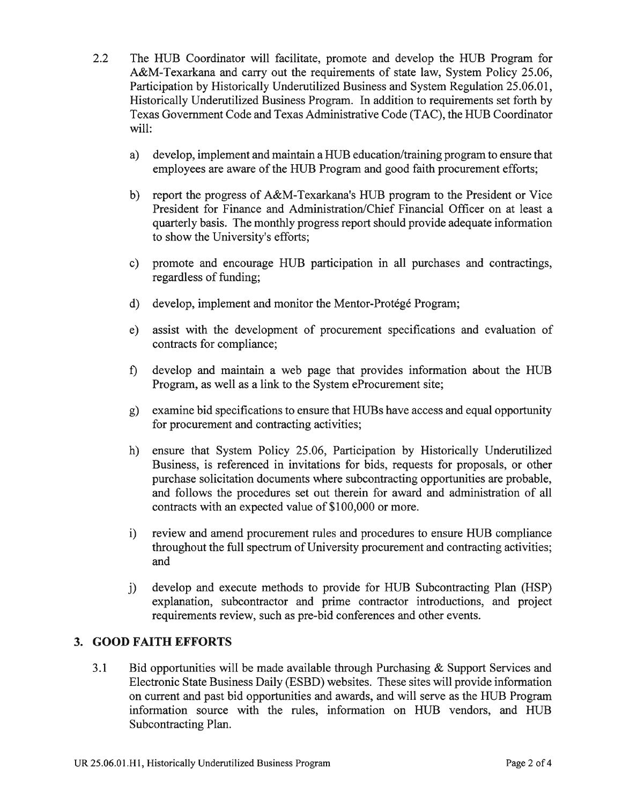- $2.2^{\circ}$ The HUB Coordinator will facilitate, promote and develop the HUB Program for A&M-Texarkana and carry out the requirements of state law, System Policy 25.06, Participation by Historically Underutilized Business and System Regulation 25.06.01, Historically Underutilized Business Program. In addition to requirements set forth by Texas Government Code and Texas Administrative Code (TAC), the HUB Coordinator will:
	- develop, implement and maintain a HUB education/training program to ensure that  $a)$ employees are aware of the HUB Program and good faith procurement efforts;
	- $b)$ report the progress of A&M-Texarkana's HUB program to the President or Vice President for Finance and Administration/Chief Financial Officer on at least a quarterly basis. The monthly progress report should provide adequate information to show the University's efforts;
	- c) promote and encourage HUB participation in all purchases and contractings, regardless of funding;
	- develop, implement and monitor the Mentor-Protégé Program;  $d)$
	- assist with the development of procurement specifications and evaluation of  $e)$ contracts for compliance;
	- develop and maintain a web page that provides information about the HUB  $f$ ) Program, as well as a link to the System eProcurement site;
	- g) examine bid specifications to ensure that HUBs have access and equal opportunity for procurement and contracting activities;
	- ensure that System Policy 25.06, Participation by Historically Underutilized h) Business, is referenced in invitations for bids, requests for proposals, or other purchase solicitation documents where subcontracting opportunities are probable, and follows the procedures set out therein for award and administration of all contracts with an expected value of \$100,000 or more.
	- review and amend procurement rules and procedures to ensure HUB compliance  $i)$ throughout the full spectrum of University procurement and contracting activities; and
	- develop and execute methods to provide for HUB Subcontracting Plan (HSP)  $\ddot{1}$ explanation, subcontractor and prime contractor introductions, and project requirements review, such as pre-bid conferences and other events.

#### 3. GOOD FAITH EFFORTS

 $3.1$ Bid opportunities will be made available through Purchasing & Support Services and Electronic State Business Daily (ESBD) websites. These sites will provide information on current and past bid opportunities and awards, and will serve as the HUB Program information source with the rules, information on HUB vendors, and HUB Subcontracting Plan.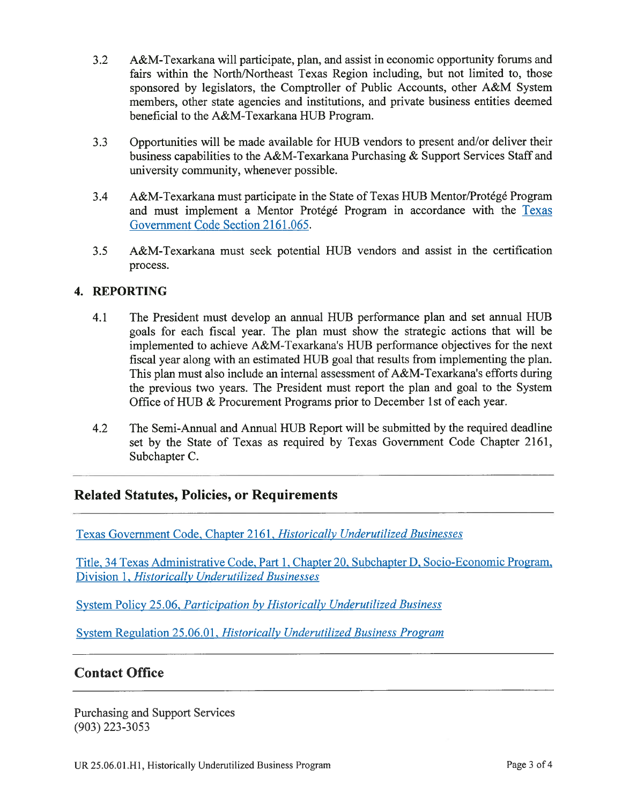- A&M-Texarkana will participate, plan, and assist in economic opportunity forums and  $3.2$ fairs within the North/Northeast Texas Region including, but not limited to, those sponsored by legislators, the Comptroller of Public Accounts, other A&M System members, other state agencies and institutions, and private business entities deemed beneficial to the A&M-Texarkana HUB Program.
- $3.3$ Opportunities will be made available for HUB vendors to present and/or deliver their business capabilities to the A&M-Texarkana Purchasing & Support Services Staff and university community, whenever possible.
- A&M-Texarkana must participate in the State of Texas HUB Mentor/Protégé Program 3.4 and must implement a Mentor Protégé Program in accordance with the Texas Government Code Section 2161.065.
- $3.5$ A&M-Texarkana must seek potential HUB vendors and assist in the certification process.

#### 4. REPORTING

- The President must develop an annual HUB performance plan and set annual HUB  $4.1$ goals for each fiscal year. The plan must show the strategic actions that will be implemented to achieve A&M-Texarkana's HUB performance objectives for the next fiscal year along with an estimated HUB goal that results from implementing the plan. This plan must also include an internal assessment of A&M-Texarkana's efforts during the previous two years. The President must report the plan and goal to the System Office of HUB & Procurement Programs prior to December 1st of each year.
- The Semi-Annual and Annual HUB Report will be submitted by the required deadline 4.2 set by the State of Texas as required by Texas Government Code Chapter 2161, Subchapter C.

## **Related Statutes, Policies, or Requirements**

Texas Government Code, Chapter 2161, Historically Underutilized Businesses

Title, 34 Texas Administrative Code, Part 1, Chapter 20, Subchapter D, Socio-Economic Program, Division 1, Historically Underutilized Businesses

System Policy 25.06, Participation by Historically Underutilized Business

System Regulation 25.06.01, Historically Underutilized Business Program

## **Contact Office**

**Purchasing and Support Services**  $(903)$  223-3053